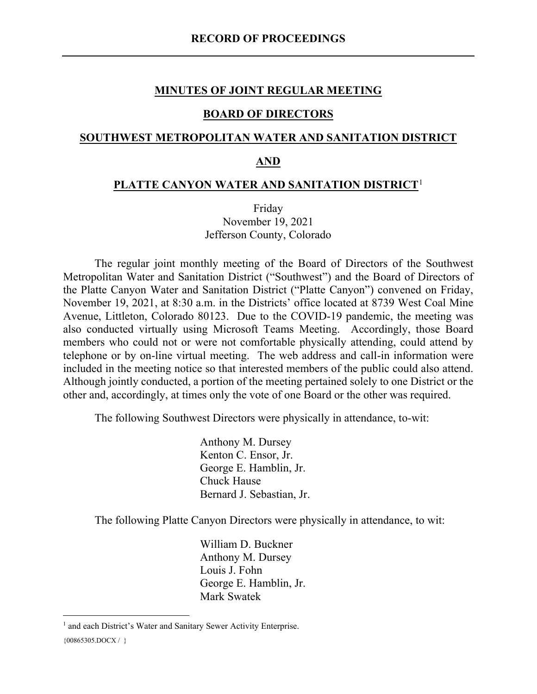#### **MINUTES OF JOINT REGULAR MEETING**

#### **BOARD OF DIRECTORS**

### **SOUTHWEST METROPOLITAN WATER AND SANITATION DISTRICT**

#### **AND**

#### **PLATTE CANYON WATER AND SANITATION DISTRICT**[1](#page-0-0)

Friday November 19, 2021 Jefferson County, Colorado

The regular joint monthly meeting of the Board of Directors of the Southwest Metropolitan Water and Sanitation District ("Southwest") and the Board of Directors of the Platte Canyon Water and Sanitation District ("Platte Canyon") convened on Friday, November 19, 2021, at 8:30 a.m. in the Districts' office located at 8739 West Coal Mine Avenue, Littleton, Colorado 80123. Due to the COVID-19 pandemic, the meeting was also conducted virtually using Microsoft Teams Meeting. Accordingly, those Board members who could not or were not comfortable physically attending, could attend by telephone or by on-line virtual meeting. The web address and call-in information were included in the meeting notice so that interested members of the public could also attend. Although jointly conducted, a portion of the meeting pertained solely to one District or the other and, accordingly, at times only the vote of one Board or the other was required.

The following Southwest Directors were physically in attendance, to-wit:

Anthony M. Dursey Kenton C. Ensor, Jr. George E. Hamblin, Jr. Chuck Hause Bernard J. Sebastian, Jr.

The following Platte Canyon Directors were physically in attendance, to wit:

William D. Buckner Anthony M. Dursey Louis J. Fohn George E. Hamblin, Jr. Mark Swatek

<span id="page-0-0"></span> ${00865305. \text{DOCX} / }$ <sup>1</sup> and each District's Water and Sanitary Sewer Activity Enterprise.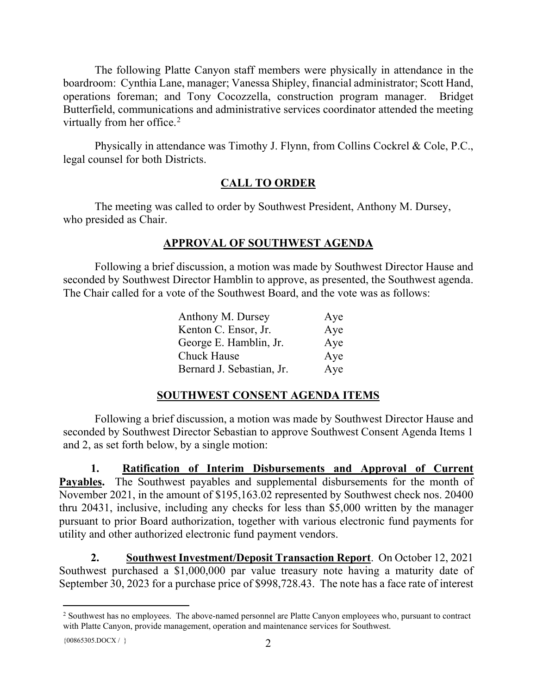The following Platte Canyon staff members were physically in attendance in the boardroom: Cynthia Lane, manager; Vanessa Shipley, financial administrator; Scott Hand, operations foreman; and Tony Cocozzella, construction program manager. Bridget Butterfield, communications and administrative services coordinator attended the meeting virtually from her office.<sup>[2](#page-1-0)</sup>

Physically in attendance was Timothy J. Flynn, from Collins Cockrel & Cole, P.C., legal counsel for both Districts.

# **CALL TO ORDER**

The meeting was called to order by Southwest President, Anthony M. Dursey, who presided as Chair.

## **APPROVAL OF SOUTHWEST AGENDA**

Following a brief discussion, a motion was made by Southwest Director Hause and seconded by Southwest Director Hamblin to approve, as presented, the Southwest agenda. The Chair called for a vote of the Southwest Board, and the vote was as follows:

| Anthony M. Dursey         | Aye |
|---------------------------|-----|
| Kenton C. Ensor, Jr.      | Aye |
| George E. Hamblin, Jr.    | Aye |
| <b>Chuck Hause</b>        | Aye |
| Bernard J. Sebastian, Jr. | Aye |

# **SOUTHWEST CONSENT AGENDA ITEMS**

Following a brief discussion, a motion was made by Southwest Director Hause and seconded by Southwest Director Sebastian to approve Southwest Consent Agenda Items 1 and 2, as set forth below, by a single motion:

**1. Ratification of Interim Disbursements and Approval of Current**  Payables. The Southwest payables and supplemental disbursements for the month of November 2021, in the amount of \$195,163.02 represented by Southwest check nos. 20400 thru 20431, inclusive, including any checks for less than \$5,000 written by the manager pursuant to prior Board authorization, together with various electronic fund payments for utility and other authorized electronic fund payment vendors.

**2. Southwest Investment/Deposit Transaction Report**. On October 12, 2021 Southwest purchased a \$1,000,000 par value treasury note having a maturity date of September 30, 2023 for a purchase price of \$998,728.43. The note has a face rate of interest

{ $00865305.DOCX / }$ }

<span id="page-1-0"></span><sup>&</sup>lt;sup>2</sup> Southwest has no employees. The above-named personnel are Platte Canyon employees who, pursuant to contract with Platte Canyon, provide management, operation and maintenance services for Southwest.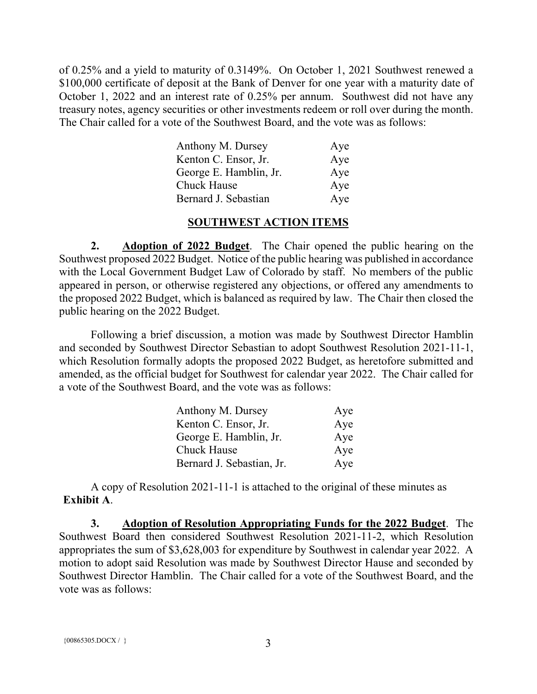of 0.25% and a yield to maturity of 0.3149%. On October 1, 2021 Southwest renewed a \$100,000 certificate of deposit at the Bank of Denver for one year with a maturity date of October 1, 2022 and an interest rate of 0.25% per annum. Southwest did not have any treasury notes, agency securities or other investments redeem or roll over during the month. The Chair called for a vote of the Southwest Board, and the vote was as follows:

| Anthony M. Dursey      | Aye |
|------------------------|-----|
| Kenton C. Ensor, Jr.   | Aye |
| George E. Hamblin, Jr. | Aye |
| Chuck Hause            | Aye |
| Bernard J. Sebastian   | Aye |

#### **SOUTHWEST ACTION ITEMS**

**2. Adoption of 2022 Budget**. The Chair opened the public hearing on the Southwest proposed 2022 Budget. Notice of the public hearing was published in accordance with the Local Government Budget Law of Colorado by staff. No members of the public appeared in person, or otherwise registered any objections, or offered any amendments to the proposed 2022 Budget, which is balanced as required by law. The Chair then closed the public hearing on the 2022 Budget.

Following a brief discussion, a motion was made by Southwest Director Hamblin and seconded by Southwest Director Sebastian to adopt Southwest Resolution 2021-11-1, which Resolution formally adopts the proposed 2022 Budget, as heretofore submitted and amended, as the official budget for Southwest for calendar year 2022. The Chair called for a vote of the Southwest Board, and the vote was as follows:

| Anthony M. Dursey         | Aye |
|---------------------------|-----|
| Kenton C. Ensor, Jr.      | Aye |
| George E. Hamblin, Jr.    | Aye |
| <b>Chuck Hause</b>        | Aye |
| Bernard J. Sebastian, Jr. | Aye |

A copy of Resolution 2021-11-1 is attached to the original of these minutes as **Exhibit A**.

**3. Adoption of Resolution Appropriating Funds for the 2022 Budget**. The Southwest Board then considered Southwest Resolution 2021-11-2, which Resolution appropriates the sum of \$3,628,003 for expenditure by Southwest in calendar year 2022. A motion to adopt said Resolution was made by Southwest Director Hause and seconded by Southwest Director Hamblin. The Chair called for a vote of the Southwest Board, and the vote was as follows: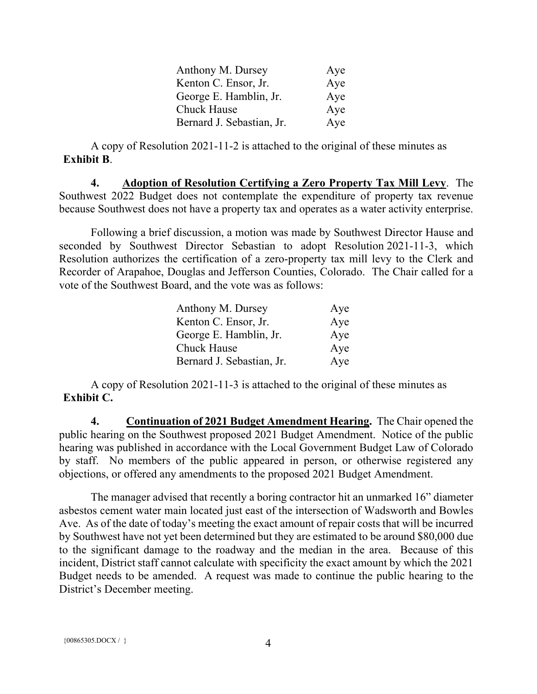| Anthony M. Dursey         | Aye |
|---------------------------|-----|
| Kenton C. Ensor, Jr.      | Aye |
| George E. Hamblin, Jr.    | Aye |
| Chuck Hause               | Aye |
| Bernard J. Sebastian, Jr. | Aye |

A copy of Resolution 2021-11-2 is attached to the original of these minutes as **Exhibit B**.

**4. Adoption of Resolution Certifying a Zero Property Tax Mill Levy**. The Southwest 2022 Budget does not contemplate the expenditure of property tax revenue because Southwest does not have a property tax and operates as a water activity enterprise.

Following a brief discussion, a motion was made by Southwest Director Hause and seconded by Southwest Director Sebastian to adopt Resolution 2021-11-3, which Resolution authorizes the certification of a zero-property tax mill levy to the Clerk and Recorder of Arapahoe, Douglas and Jefferson Counties, Colorado. The Chair called for a vote of the Southwest Board, and the vote was as follows:

| Anthony M. Dursey         | Aye |
|---------------------------|-----|
| Kenton C. Ensor, Jr.      | Aye |
| George E. Hamblin, Jr.    | Aye |
| <b>Chuck Hause</b>        | Aye |
| Bernard J. Sebastian, Jr. | Aye |

A copy of Resolution 2021-11-3 is attached to the original of these minutes as **Exhibit C.**

**4. Continuation of 2021 Budget Amendment Hearing.** The Chair opened the public hearing on the Southwest proposed 2021 Budget Amendment. Notice of the public hearing was published in accordance with the Local Government Budget Law of Colorado by staff. No members of the public appeared in person, or otherwise registered any objections, or offered any amendments to the proposed 2021 Budget Amendment.

The manager advised that recently a boring contractor hit an unmarked 16" diameter asbestos cement water main located just east of the intersection of Wadsworth and Bowles Ave. As of the date of today's meeting the exact amount of repair costs that will be incurred by Southwest have not yet been determined but they are estimated to be around \$80,000 due to the significant damage to the roadway and the median in the area. Because of this incident, District staff cannot calculate with specificity the exact amount by which the 2021 Budget needs to be amended. A request was made to continue the public hearing to the District's December meeting.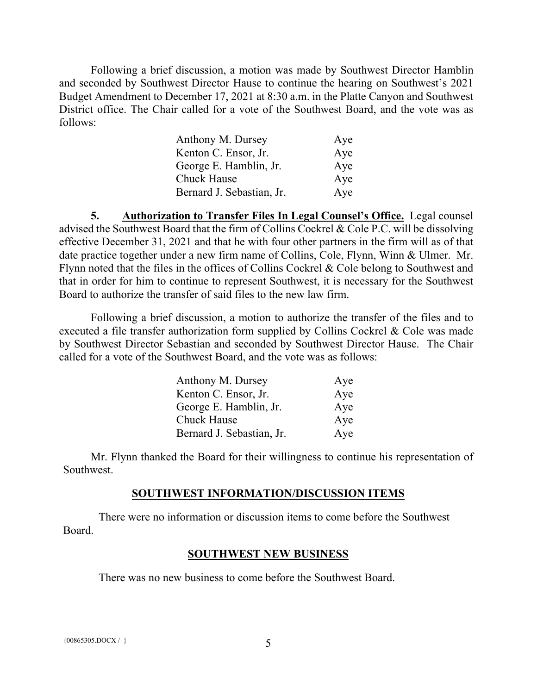Following a brief discussion, a motion was made by Southwest Director Hamblin and seconded by Southwest Director Hause to continue the hearing on Southwest's 2021 Budget Amendment to December 17, 2021 at 8:30 a.m. in the Platte Canyon and Southwest District office. The Chair called for a vote of the Southwest Board, and the vote was as follows:

| Anthony M. Dursey         | Aye |
|---------------------------|-----|
| Kenton C. Ensor, Jr.      | Aye |
| George E. Hamblin, Jr.    | Aye |
| <b>Chuck Hause</b>        | Aye |
| Bernard J. Sebastian, Jr. | Aye |

**5. Authorization to Transfer Files In Legal Counsel's Office.** Legal counsel advised the Southwest Board that the firm of Collins Cockrel & Cole P.C. will be dissolving effective December 31, 2021 and that he with four other partners in the firm will as of that date practice together under a new firm name of Collins, Cole, Flynn, Winn & Ulmer. Mr. Flynn noted that the files in the offices of Collins Cockrel & Cole belong to Southwest and that in order for him to continue to represent Southwest, it is necessary for the Southwest Board to authorize the transfer of said files to the new law firm.

Following a brief discussion, a motion to authorize the transfer of the files and to executed a file transfer authorization form supplied by Collins Cockrel & Cole was made by Southwest Director Sebastian and seconded by Southwest Director Hause. The Chair called for a vote of the Southwest Board, and the vote was as follows:

| Anthony M. Dursey         | Aye |
|---------------------------|-----|
| Kenton C. Ensor, Jr.      | Aye |
| George E. Hamblin, Jr.    | Aye |
| <b>Chuck Hause</b>        | Aye |
| Bernard J. Sebastian, Jr. | Aye |

Mr. Flynn thanked the Board for their willingness to continue his representation of Southwest.

#### **SOUTHWEST INFORMATION/DISCUSSION ITEMS**

There were no information or discussion items to come before the Southwest Board.

#### **SOUTHWEST NEW BUSINESS**

There was no new business to come before the Southwest Board.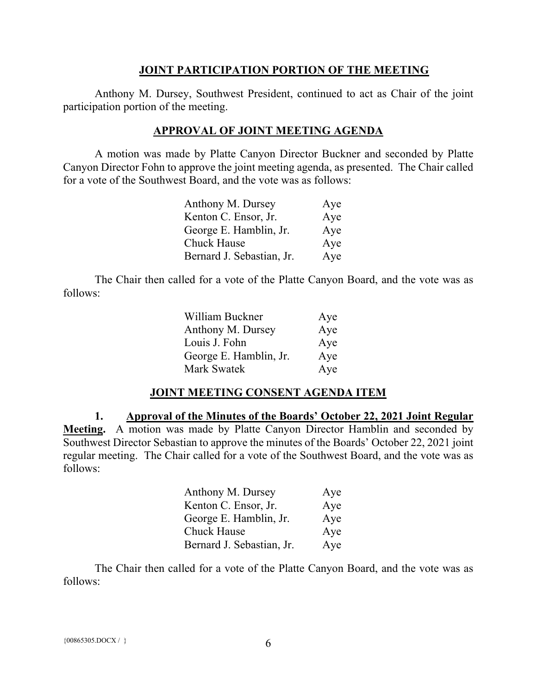#### **JOINT PARTICIPATION PORTION OF THE MEETING**

Anthony M. Dursey, Southwest President, continued to act as Chair of the joint participation portion of the meeting.

### **APPROVAL OF JOINT MEETING AGENDA**

A motion was made by Platte Canyon Director Buckner and seconded by Platte Canyon Director Fohn to approve the joint meeting agenda, as presented. The Chair called for a vote of the Southwest Board, and the vote was as follows:

| Anthony M. Dursey         | Aye |
|---------------------------|-----|
| Kenton C. Ensor, Jr.      | Aye |
| George E. Hamblin, Jr.    | Aye |
| Chuck Hause               | Aye |
| Bernard J. Sebastian, Jr. | Aye |

The Chair then called for a vote of the Platte Canyon Board, and the vote was as follows:

| William Buckner        | Aye |
|------------------------|-----|
| Anthony M. Dursey      | Aye |
| Louis J. Fohn          | Aye |
| George E. Hamblin, Jr. | Aye |
| Mark Swatek            | Aye |

### **JOINT MEETING CONSENT AGENDA ITEM**

**1. Approval of the Minutes of the Boards' October 22, 2021 Joint Regular Meeting.** A motion was made by Platte Canyon Director Hamblin and seconded by Southwest Director Sebastian to approve the minutes of the Boards' October 22, 2021 joint regular meeting. The Chair called for a vote of the Southwest Board, and the vote was as follows:

| Anthony M. Dursey         | Aye |
|---------------------------|-----|
| Kenton C. Ensor, Jr.      | Aye |
| George E. Hamblin, Jr.    | Aye |
| Chuck Hause               | Aye |
| Bernard J. Sebastian, Jr. | Aye |

The Chair then called for a vote of the Platte Canyon Board, and the vote was as follows: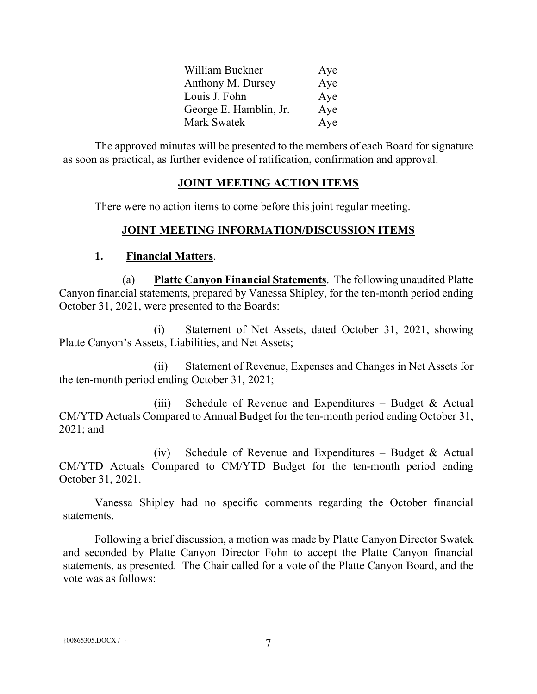| William Buckner        | Aye |
|------------------------|-----|
| Anthony M. Dursey      | Aye |
| Louis J. Fohn          | Aye |
| George E. Hamblin, Jr. | Aye |
| Mark Swatek            | Aye |

The approved minutes will be presented to the members of each Board for signature as soon as practical, as further evidence of ratification, confirmation and approval.

### **JOINT MEETING ACTION ITEMS**

There were no action items to come before this joint regular meeting.

## **JOINT MEETING INFORMATION/DISCUSSION ITEMS**

### **1. Financial Matters**.

(a) **Platte Canyon Financial Statements**. The following unaudited Platte Canyon financial statements, prepared by Vanessa Shipley, for the ten-month period ending October 31, 2021, were presented to the Boards:

(i) Statement of Net Assets, dated October 31, 2021, showing Platte Canyon's Assets, Liabilities, and Net Assets;

(ii) Statement of Revenue, Expenses and Changes in Net Assets for the ten-month period ending October 31, 2021;

(iii) Schedule of Revenue and Expenditures – Budget  $\&$  Actual CM/YTD Actuals Compared to Annual Budget for the ten-month period ending October 31, 2021; and

(iv) Schedule of Revenue and Expenditures – Budget & Actual CM/YTD Actuals Compared to CM/YTD Budget for the ten-month period ending October 31, 2021.

Vanessa Shipley had no specific comments regarding the October financial statements.

Following a brief discussion, a motion was made by Platte Canyon Director Swatek and seconded by Platte Canyon Director Fohn to accept the Platte Canyon financial statements, as presented. The Chair called for a vote of the Platte Canyon Board, and the vote was as follows: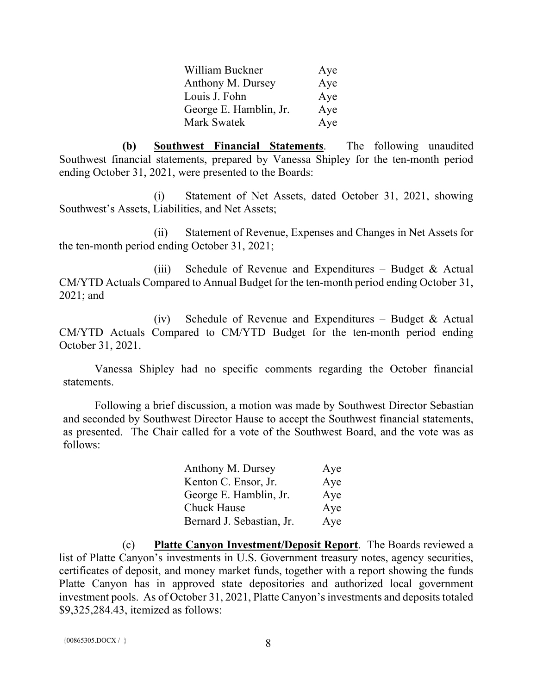| William Buckner        | Aye |
|------------------------|-----|
| Anthony M. Dursey      | Aye |
| Louis J. Fohn          | Aye |
| George E. Hamblin, Jr. | Aye |
| Mark Swatek            | Aye |

**(b) Southwest Financial Statements**. The following unaudited Southwest financial statements, prepared by Vanessa Shipley for the ten-month period ending October 31, 2021, were presented to the Boards:

(i) Statement of Net Assets, dated October 31, 2021, showing Southwest's Assets, Liabilities, and Net Assets;

(ii) Statement of Revenue, Expenses and Changes in Net Assets for the ten-month period ending October 31, 2021;

(iii) Schedule of Revenue and Expenditures – Budget  $\&$  Actual CM/YTD Actuals Compared to Annual Budget for the ten-month period ending October 31, 2021; and

(iv) Schedule of Revenue and Expenditures – Budget & Actual CM/YTD Actuals Compared to CM/YTD Budget for the ten-month period ending October 31, 2021.

Vanessa Shipley had no specific comments regarding the October financial statements.

Following a brief discussion, a motion was made by Southwest Director Sebastian and seconded by Southwest Director Hause to accept the Southwest financial statements, as presented. The Chair called for a vote of the Southwest Board, and the vote was as follows:

| Anthony M. Dursey         | Aye |
|---------------------------|-----|
| Kenton C. Ensor, Jr.      | Aye |
| George E. Hamblin, Jr.    | Aye |
| Chuck Hause               | Aye |
| Bernard J. Sebastian, Jr. | Aye |

(c) **Platte Canyon Investment/Deposit Report**. The Boards reviewed a list of Platte Canyon's investments in U.S. Government treasury notes, agency securities, certificates of deposit, and money market funds, together with a report showing the funds Platte Canyon has in approved state depositories and authorized local government investment pools. As of October 31, 2021, Platte Canyon's investments and deposits totaled \$9,325,284.43, itemized as follows: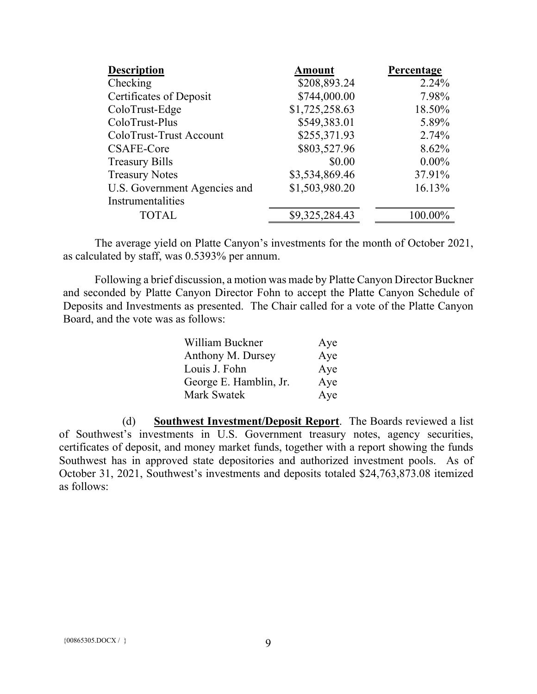| <b>Description</b>           | <b>Amount</b>  | Percentage |
|------------------------------|----------------|------------|
| Checking                     | \$208,893.24   | 2.24%      |
| Certificates of Deposit      | \$744,000.00   | 7.98%      |
| ColoTrust-Edge               | \$1,725,258.63 | 18.50%     |
| ColoTrust-Plus               | \$549,383.01   | 5.89%      |
| ColoTrust-Trust Account      | \$255,371.93   | 2.74%      |
| CSAFE-Core                   | \$803,527.96   | 8.62%      |
| <b>Treasury Bills</b>        | \$0.00         | $0.00\%$   |
| <b>Treasury Notes</b>        | \$3,534,869.46 | 37.91%     |
| U.S. Government Agencies and | \$1,503,980.20 | 16.13%     |
| Instrumentalities            |                |            |
| <b>TOTAL</b>                 | \$9,325,284.43 | 100.00%    |

The average yield on Platte Canyon's investments for the month of October 2021, as calculated by staff, was 0.5393% per annum.

Following a brief discussion, a motion was made by Platte Canyon Director Buckner and seconded by Platte Canyon Director Fohn to accept the Platte Canyon Schedule of Deposits and Investments as presented. The Chair called for a vote of the Platte Canyon Board, and the vote was as follows:

| William Buckner        | Aye |
|------------------------|-----|
| Anthony M. Dursey      | Aye |
| Louis J. Fohn          | Aye |
| George E. Hamblin, Jr. | Aye |
| Mark Swatek            | Aye |

(d) **Southwest Investment/Deposit Report**. The Boards reviewed a list of Southwest's investments in U.S. Government treasury notes, agency securities, certificates of deposit, and money market funds, together with a report showing the funds Southwest has in approved state depositories and authorized investment pools. As of October 31, 2021, Southwest's investments and deposits totaled \$24,763,873.08 itemized as follows: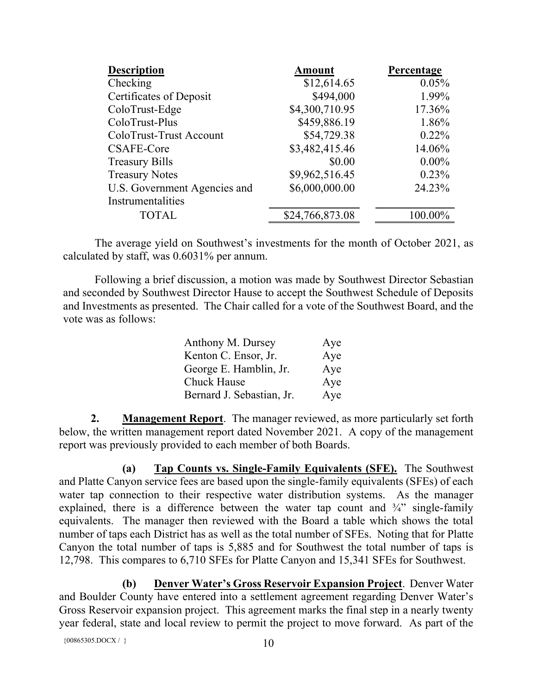| <b>Description</b>           | <b>Amount</b>   | Percentage |
|------------------------------|-----------------|------------|
| Checking                     | \$12,614.65     | 0.05%      |
| Certificates of Deposit      | \$494,000       | 1.99%      |
| ColoTrust-Edge               | \$4,300,710.95  | 17.36%     |
| ColoTrust-Plus               | \$459,886.19    | 1.86%      |
| ColoTrust-Trust Account      | \$54,729.38     | $0.22\%$   |
| CSAFE-Core                   | \$3,482,415.46  | 14.06%     |
| <b>Treasury Bills</b>        | \$0.00          | $0.00\%$   |
| <b>Treasury Notes</b>        | \$9,962,516.45  | 0.23%      |
| U.S. Government Agencies and | \$6,000,000.00  | 24.23%     |
| Instrumentalities            |                 |            |
| <b>TOTAL</b>                 | \$24,766,873.08 | 100.00%    |

The average yield on Southwest's investments for the month of October 2021, as calculated by staff, was 0.6031% per annum.

Following a brief discussion, a motion was made by Southwest Director Sebastian and seconded by Southwest Director Hause to accept the Southwest Schedule of Deposits and Investments as presented. The Chair called for a vote of the Southwest Board, and the vote was as follows:

| Anthony M. Dursey         | Aye |
|---------------------------|-----|
| Kenton C. Ensor, Jr.      | Aye |
| George E. Hamblin, Jr.    | Aye |
| Chuck Hause               | Aye |
| Bernard J. Sebastian, Jr. | Aye |

**2. Management Report**. The manager reviewed, as more particularly set forth below, the written management report dated November 2021. A copy of the management report was previously provided to each member of both Boards.

**(a) Tap Counts vs. Single-Family Equivalents (SFE).** The Southwest and Platte Canyon service fees are based upon the single-family equivalents (SFEs) of each water tap connection to their respective water distribution systems. As the manager explained, there is a difference between the water tap count and  $\frac{3}{4}$  single-family equivalents. The manager then reviewed with the Board a table which shows the total number of taps each District has as well as the total number of SFEs. Noting that for Platte Canyon the total number of taps is 5,885 and for Southwest the total number of taps is 12,798. This compares to 6,710 SFEs for Platte Canyon and 15,341 SFEs for Southwest.

**(b) Denver Water's Gross Reservoir Expansion Project**. Denver Water and Boulder County have entered into a settlement agreement regarding Denver Water's Gross Reservoir expansion project. This agreement marks the final step in a nearly twenty year federal, state and local review to permit the project to move forward. As part of the

{ $00865305.DOCX / }$ } 10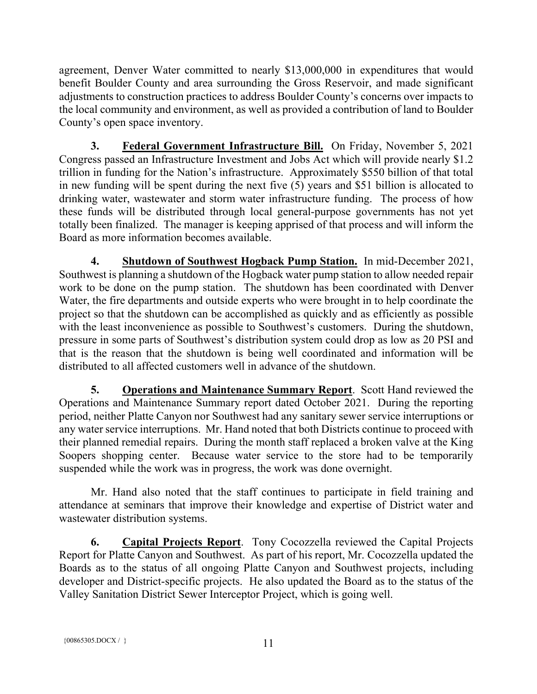agreement, Denver Water committed to nearly \$13,000,000 in expenditures that would benefit Boulder County and area surrounding the Gross Reservoir, and made significant adjustments to construction practices to address Boulder County's concerns over impacts to the local community and environment, as well as provided a contribution of land to Boulder County's open space inventory.

**3. Federal Government Infrastructure Bill.** On Friday, November 5, 2021 Congress passed an Infrastructure Investment and Jobs Act which will provide nearly \$1.2 trillion in funding for the Nation's infrastructure. Approximately \$550 billion of that total in new funding will be spent during the next five (5) years and \$51 billion is allocated to drinking water, wastewater and storm water infrastructure funding. The process of how these funds will be distributed through local general-purpose governments has not yet totally been finalized. The manager is keeping apprised of that process and will inform the Board as more information becomes available.

**4. Shutdown of Southwest Hogback Pump Station.** In mid-December 2021, Southwest is planning a shutdown of the Hogback water pump station to allow needed repair work to be done on the pump station. The shutdown has been coordinated with Denver Water, the fire departments and outside experts who were brought in to help coordinate the project so that the shutdown can be accomplished as quickly and as efficiently as possible with the least inconvenience as possible to Southwest's customers. During the shutdown, pressure in some parts of Southwest's distribution system could drop as low as 20 PSI and that is the reason that the shutdown is being well coordinated and information will be distributed to all affected customers well in advance of the shutdown.

**5. Operations and Maintenance Summary Report**. Scott Hand reviewed the Operations and Maintenance Summary report dated October 2021. During the reporting period, neither Platte Canyon nor Southwest had any sanitary sewer service interruptions or any water service interruptions. Mr. Hand noted that both Districts continue to proceed with their planned remedial repairs. During the month staff replaced a broken valve at the King Soopers shopping center. Because water service to the store had to be temporarily suspended while the work was in progress, the work was done overnight.

Mr. Hand also noted that the staff continues to participate in field training and attendance at seminars that improve their knowledge and expertise of District water and wastewater distribution systems.

**6. Capital Projects Report**. Tony Cocozzella reviewed the Capital Projects Report for Platte Canyon and Southwest. As part of his report, Mr. Cocozzella updated the Boards as to the status of all ongoing Platte Canyon and Southwest projects, including developer and District-specific projects. He also updated the Board as to the status of the Valley Sanitation District Sewer Interceptor Project, which is going well.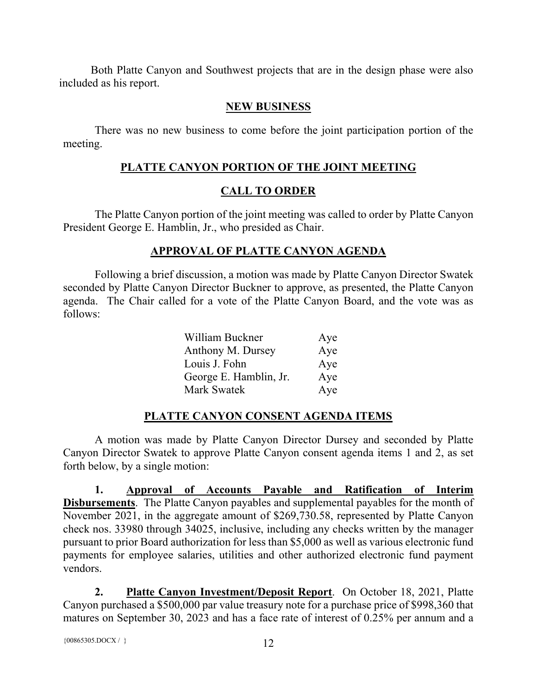Both Platte Canyon and Southwest projects that are in the design phase were also included as his report.

# **NEW BUSINESS**

There was no new business to come before the joint participation portion of the meeting.

# **PLATTE CANYON PORTION OF THE JOINT MEETING**

# **CALL TO ORDER**

The Platte Canyon portion of the joint meeting was called to order by Platte Canyon President George E. Hamblin, Jr., who presided as Chair.

# **APPROVAL OF PLATTE CANYON AGENDA**

Following a brief discussion, a motion was made by Platte Canyon Director Swatek seconded by Platte Canyon Director Buckner to approve, as presented, the Platte Canyon agenda. The Chair called for a vote of the Platte Canyon Board, and the vote was as follows:

| William Buckner        | Aye |
|------------------------|-----|
| Anthony M. Dursey      | Aye |
| Louis J. Fohn          | Aye |
| George E. Hamblin, Jr. | Aye |
| Mark Swatek            | Aye |

# **PLATTE CANYON CONSENT AGENDA ITEMS**

A motion was made by Platte Canyon Director Dursey and seconded by Platte Canyon Director Swatek to approve Platte Canyon consent agenda items 1 and 2, as set forth below, by a single motion:

**1. Approval of Accounts Payable and Ratification of Interim Disbursements**. The Platte Canyon payables and supplemental payables for the month of November 2021, in the aggregate amount of \$269,730.58, represented by Platte Canyon check nos. 33980 through 34025, inclusive, including any checks written by the manager pursuant to prior Board authorization for less than \$5,000 as well as various electronic fund payments for employee salaries, utilities and other authorized electronic fund payment vendors.

**2. Platte Canyon Investment/Deposit Report**. On October 18, 2021, Platte Canyon purchased a \$500,000 par value treasury note for a purchase price of \$998,360 that matures on September 30, 2023 and has a face rate of interest of 0.25% per annum and a

```
{00865305.DOCX / }} 12
```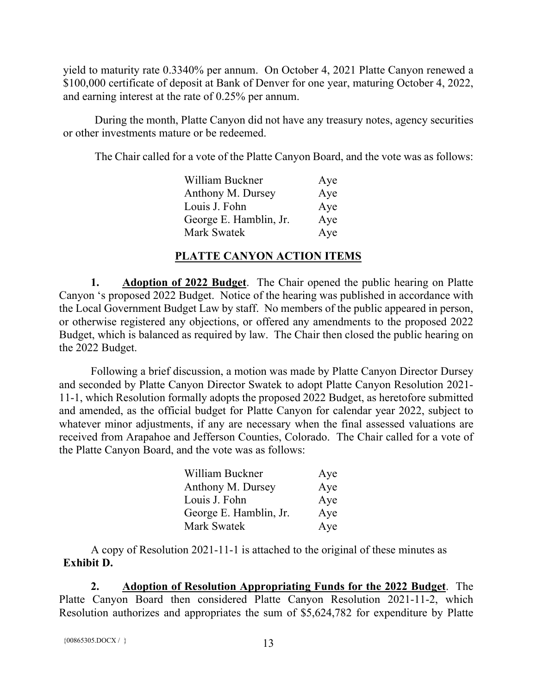yield to maturity rate 0.3340% per annum. On October 4, 2021 Platte Canyon renewed a \$100,000 certificate of deposit at Bank of Denver for one year, maturing October 4, 2022, and earning interest at the rate of 0.25% per annum.

During the month, Platte Canyon did not have any treasury notes, agency securities or other investments mature or be redeemed.

The Chair called for a vote of the Platte Canyon Board, and the vote was as follows:

| William Buckner        | Aye |
|------------------------|-----|
| Anthony M. Dursey      | Aye |
| Louis J. Fohn          | Aye |
| George E. Hamblin, Jr. | Aye |
| Mark Swatek            | Aye |

## **PLATTE CANYON ACTION ITEMS**

**1. Adoption of 2022 Budget**. The Chair opened the public hearing on Platte Canyon 's proposed 2022 Budget. Notice of the hearing was published in accordance with the Local Government Budget Law by staff. No members of the public appeared in person, or otherwise registered any objections, or offered any amendments to the proposed 2022 Budget, which is balanced as required by law. The Chair then closed the public hearing on the 2022 Budget.

Following a brief discussion, a motion was made by Platte Canyon Director Dursey and seconded by Platte Canyon Director Swatek to adopt Platte Canyon Resolution 2021- 11-1, which Resolution formally adopts the proposed 2022 Budget, as heretofore submitted and amended, as the official budget for Platte Canyon for calendar year 2022, subject to whatever minor adjustments, if any are necessary when the final assessed valuations are received from Arapahoe and Jefferson Counties, Colorado. The Chair called for a vote of the Platte Canyon Board, and the vote was as follows:

| William Buckner        | Aye |
|------------------------|-----|
| Anthony M. Dursey      | Aye |
| Louis J. Fohn          | Aye |
| George E. Hamblin, Jr. | Aye |
| <b>Mark Swatek</b>     | Aye |

A copy of Resolution 2021-11-1 is attached to the original of these minutes as **Exhibit D.**

**2. Adoption of Resolution Appropriating Funds for the 2022 Budget**. The Platte Canyon Board then considered Platte Canyon Resolution 2021-11-2, which Resolution authorizes and appropriates the sum of \$5,624,782 for expenditure by Platte

```
{00865305. \text{DOCX} / } 13
```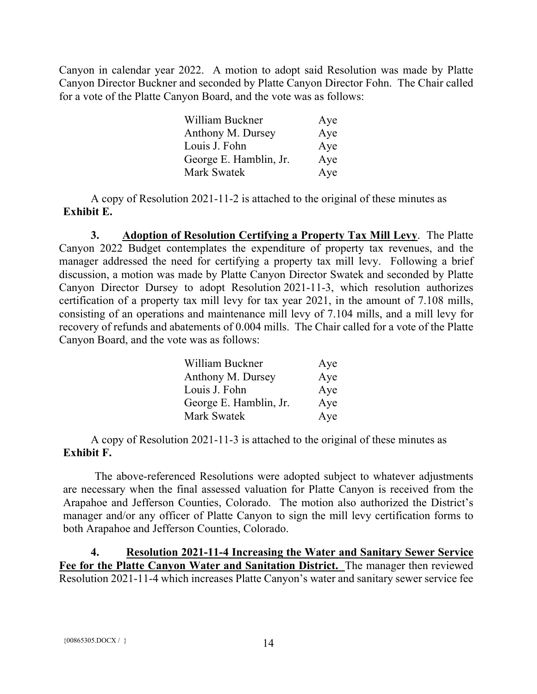Canyon in calendar year 2022. A motion to adopt said Resolution was made by Platte Canyon Director Buckner and seconded by Platte Canyon Director Fohn. The Chair called for a vote of the Platte Canyon Board, and the vote was as follows:

| William Buckner        | Aye |
|------------------------|-----|
| Anthony M. Dursey      | Aye |
| Louis J. Fohn          | Aye |
| George E. Hamblin, Jr. | Aye |
| Mark Swatek            | Aye |

A copy of Resolution 2021-11-2 is attached to the original of these minutes as **Exhibit E.**

**3. Adoption of Resolution Certifying a Property Tax Mill Levy**. The Platte Canyon 2022 Budget contemplates the expenditure of property tax revenues, and the manager addressed the need for certifying a property tax mill levy. Following a brief discussion, a motion was made by Platte Canyon Director Swatek and seconded by Platte Canyon Director Dursey to adopt Resolution 2021-11-3, which resolution authorizes certification of a property tax mill levy for tax year 2021, in the amount of 7.108 mills, consisting of an operations and maintenance mill levy of 7.104 mills, and a mill levy for recovery of refunds and abatements of 0.004 mills. The Chair called for a vote of the Platte Canyon Board, and the vote was as follows:

| William Buckner        | Aye |
|------------------------|-----|
| Anthony M. Dursey      | Aye |
| Louis J. Fohn          | Aye |
| George E. Hamblin, Jr. | Aye |
| Mark Swatek            | Aye |

A copy of Resolution 2021-11-3 is attached to the original of these minutes as **Exhibit F.**

The above-referenced Resolutions were adopted subject to whatever adjustments are necessary when the final assessed valuation for Platte Canyon is received from the Arapahoe and Jefferson Counties, Colorado. The motion also authorized the District's manager and/or any officer of Platte Canyon to sign the mill levy certification forms to both Arapahoe and Jefferson Counties, Colorado.

**4. Resolution 2021-11-4 Increasing the Water and Sanitary Sewer Service Fee for the Platte Canyon Water and Sanitation District.** The manager then reviewed Resolution 2021-11-4 which increases Platte Canyon's water and sanitary sewer service fee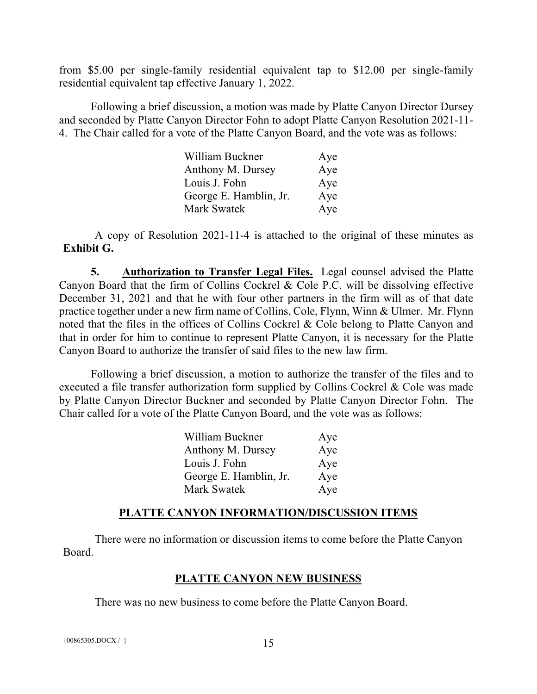from \$5.00 per single-family residential equivalent tap to \$12.00 per single-family residential equivalent tap effective January 1, 2022.

Following a brief discussion, a motion was made by Platte Canyon Director Dursey and seconded by Platte Canyon Director Fohn to adopt Platte Canyon Resolution 2021-11- 4. The Chair called for a vote of the Platte Canyon Board, and the vote was as follows:

| William Buckner        | Aye |
|------------------------|-----|
| Anthony M. Dursey      | Aye |
| Louis J. Fohn          | Aye |
| George E. Hamblin, Jr. | Aye |
| <b>Mark Swatek</b>     | Aye |

A copy of Resolution 2021-11-4 is attached to the original of these minutes as **Exhibit G.**

**5. Authorization to Transfer Legal Files.** Legal counsel advised the Platte Canyon Board that the firm of Collins Cockrel & Cole P.C. will be dissolving effective December 31, 2021 and that he with four other partners in the firm will as of that date practice together under a new firm name of Collins, Cole, Flynn, Winn & Ulmer. Mr. Flynn noted that the files in the offices of Collins Cockrel & Cole belong to Platte Canyon and that in order for him to continue to represent Platte Canyon, it is necessary for the Platte Canyon Board to authorize the transfer of said files to the new law firm.

Following a brief discussion, a motion to authorize the transfer of the files and to executed a file transfer authorization form supplied by Collins Cockrel & Cole was made by Platte Canyon Director Buckner and seconded by Platte Canyon Director Fohn. The Chair called for a vote of the Platte Canyon Board, and the vote was as follows:

| William Buckner        | Aye |
|------------------------|-----|
| Anthony M. Dursey      | Aye |
| Louis J. Fohn          | Aye |
| George E. Hamblin, Jr. | Aye |
| Mark Swatek            | Aye |

### **PLATTE CANYON INFORMATION/DISCUSSION ITEMS**

There were no information or discussion items to come before the Platte Canyon Board.

### **PLATTE CANYON NEW BUSINESS**

There was no new business to come before the Platte Canyon Board.

 ${00865305. \text{DOCX} / }$  15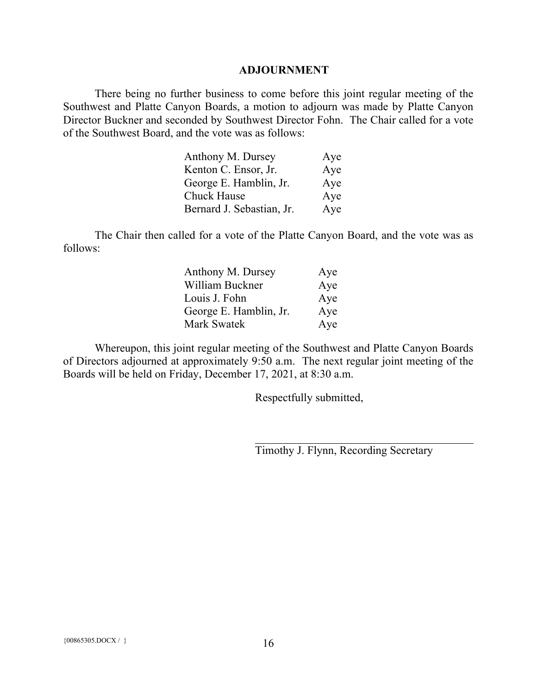#### **ADJOURNMENT**

There being no further business to come before this joint regular meeting of the Southwest and Platte Canyon Boards, a motion to adjourn was made by Platte Canyon Director Buckner and seconded by Southwest Director Fohn. The Chair called for a vote of the Southwest Board, and the vote was as follows:

| Anthony M. Dursey         | Aye |
|---------------------------|-----|
| Kenton C. Ensor, Jr.      | Aye |
| George E. Hamblin, Jr.    | Aye |
| Chuck Hause               | Aye |
| Bernard J. Sebastian, Jr. | Aye |

The Chair then called for a vote of the Platte Canyon Board, and the vote was as follows:

| Anthony M. Dursey      | Aye |
|------------------------|-----|
| William Buckner        | Aye |
| Louis J. Fohn          | Aye |
| George E. Hamblin, Jr. | Aye |
| <b>Mark Swatek</b>     | Aye |

Whereupon, this joint regular meeting of the Southwest and Platte Canyon Boards of Directors adjourned at approximately 9:50 a.m. The next regular joint meeting of the Boards will be held on Friday, December 17, 2021, at 8:30 a.m.

Respectfully submitted,

Timothy J. Flynn, Recording Secretary